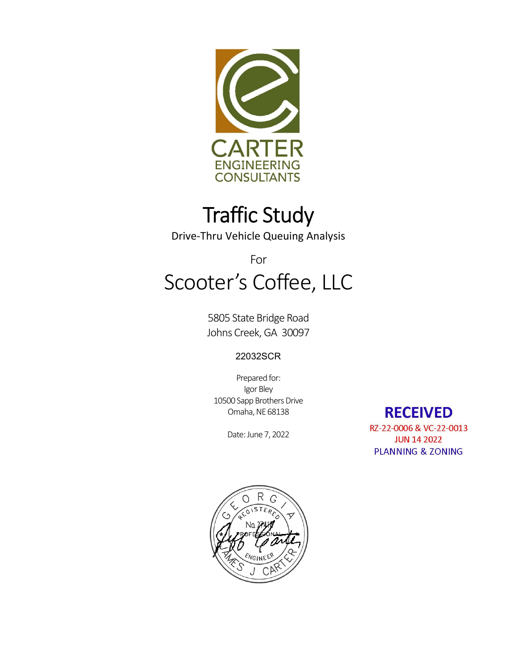

# Traffic Study

Drive‐Thru Vehicle Queuing Analysis

# For Scooter's Coffee, LLC

5805 State Bridge Road Johns Creek, GA 30097

#### 22032SCR

Prepared for: Igor Bley 10500 Sapp Brothers Drive Omaha, NE 68138

Date: June 7, 2022

**RECEIVED** RZ-22-0006 & VC-22-0013 **JUN 14 2022 PLANNING & ZONING** 

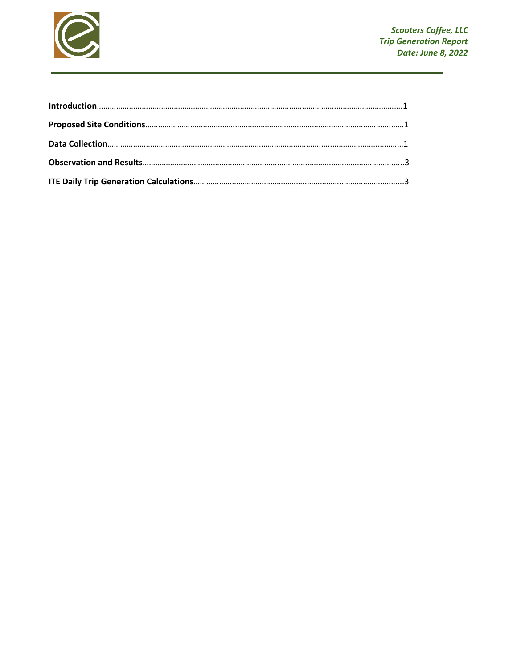

| Introduction 1.1 |  |
|------------------|--|
|                  |  |
|                  |  |
|                  |  |
|                  |  |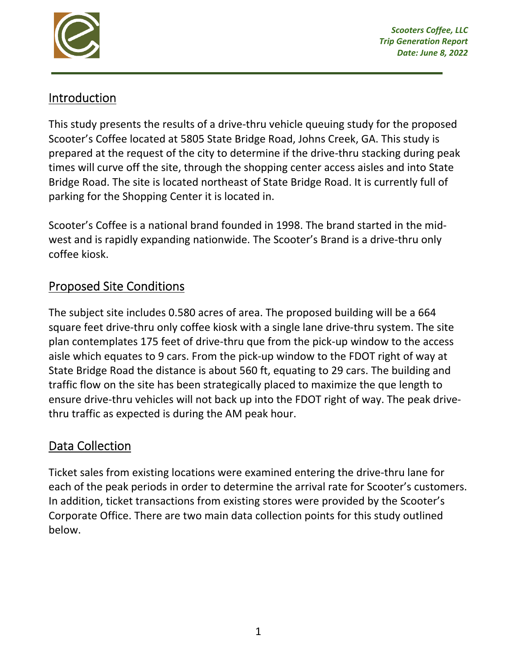

# Introduction

This study presents the results of a drive-thru vehicle queuing study for the proposed Scooter's Coffee located at 5805 State Bridge Road, Johns Creek, GA. This study is prepared at the request of the city to determine if the drive‐thru stacking during peak times will curve off the site, through the shopping center access aisles and into State Bridge Road. The site is located northeast of State Bridge Road. It is currently full of parking for the Shopping Center it is located in.

Scooter's Coffee is a national brand founded in 1998. The brand started in the mid‐ west and is rapidly expanding nationwide. The Scooter's Brand is a drive-thru only coffee kiosk.

# Proposed Site Conditions

The subject site includes 0.580 acres of area. The proposed building will be a 664 square feet drive-thru only coffee kiosk with a single lane drive-thru system. The site plan contemplates 175 feet of drive‐thru que from the pick‐up window to the access aisle which equates to 9 cars. From the pick‐up window to the FDOT right of way at State Bridge Road the distance is about 560 ft, equating to 29 cars. The building and traffic flow on the site has been strategically placed to maximize the que length to ensure drive‐thru vehicles will not back up into the FDOT right of way. The peak drive‐ thru traffic as expected is during the AM peak hour.

### Data Collection

Ticket sales from existing locations were examined entering the drive‐thru lane for each of the peak periods in order to determine the arrival rate for Scooter's customers. In addition, ticket transactions from existing stores were provided by the Scooter's Corporate Office. There are two main data collection points for this study outlined below.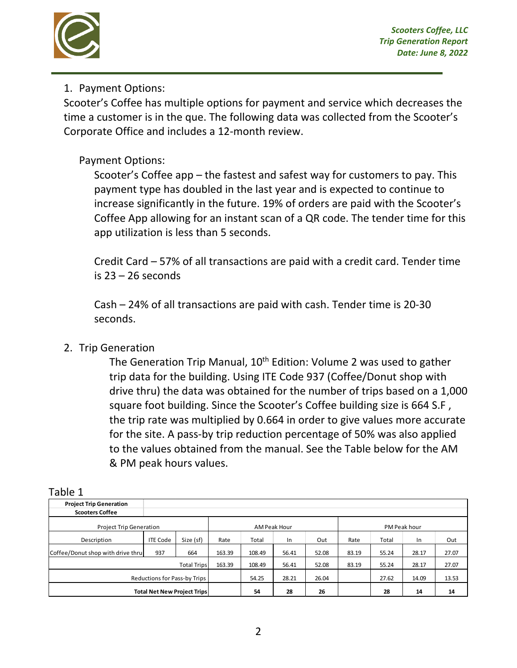

#### 1. Payment Options:

Scooter's Coffee has multiple options for payment and service which decreases the time a customer is in the que. The following data was collected from the Scooter's Corporate Office and includes a 12‐month review.

#### Payment Options:

Scooter's Coffee app – the fastest and safest way for customers to pay. This payment type has doubled in the last year and is expected to continue to increase significantly in the future. 19% of orders are paid with the Scooter's Coffee App allowing for an instant scan of a QR code. The tender time for this app utilization is less than 5 seconds.

Credit Card – 57% of all transactions are paid with a credit card. Tender time is 23 – 26 seconds

Cash – 24% of all transactions are paid with cash. Tender time is 20‐30 seconds.

#### 2. Trip Generation

The Generation Trip Manual, 10<sup>th</sup> Edition: Volume 2 was used to gather trip data for the building. Using ITE Code 937 (Coffee/Donut shop with drive thru) the data was obtained for the number of trips based on a 1,000 square foot building. Since the Scooter's Coffee building size is 664 S.F , the trip rate was multiplied by 0.664 in order to give values more accurate for the site. A pass‐by trip reduction percentage of 50% was also applied to the values obtained from the manual. See the Table below for the AM & PM peak hours values.

| able 1                             |                 |                    |              |        |       |       |              |       |       |       |
|------------------------------------|-----------------|--------------------|--------------|--------|-------|-------|--------------|-------|-------|-------|
| <b>Project Trip Generation</b>     |                 |                    |              |        |       |       |              |       |       |       |
| <b>Scooters Coffee</b>             |                 |                    |              |        |       |       |              |       |       |       |
| <b>Project Trip Generation</b>     |                 |                    | AM Peak Hour |        |       |       | PM Peak hour |       |       |       |
| Description                        | <b>ITE Code</b> | Size (sf)          | Rate         | Total  | In    | Out   | Rate         | Total | In    | Out   |
| Coffee/Donut shop with drive thru  | 937             | 664                | 163.39       | 108.49 | 56.41 | 52.08 | 83.19        | 55.24 | 28.17 | 27.07 |
|                                    |                 | <b>Total Trips</b> | 163.39       | 108.49 | 56.41 | 52.08 | 83.19        | 55.24 | 28.17 | 27.07 |
| Reductions for Pass-by Trips       |                 |                    | 54.25        | 28.21  | 26.04 |       | 27.62        | 14.09 | 13.53 |       |
| <b>Total Net New Project Trips</b> |                 |                    | 54           | 28     | 26    |       | 28           | 14    | 14    |       |

| . .<br>۰. |  |
|-----------|--|
|-----------|--|